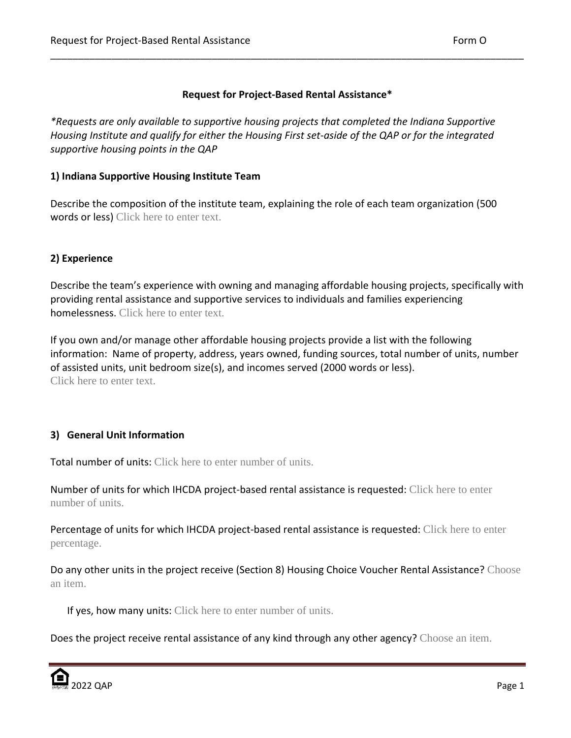## **Request for Project-Based Rental Assistance\***

\_\_\_\_\_\_\_\_\_\_\_\_\_\_\_\_\_\_\_\_\_\_\_\_\_\_\_\_\_\_\_\_\_\_\_\_\_\_\_\_\_\_\_\_\_\_\_\_\_\_\_\_\_\_\_\_\_\_\_\_\_\_\_\_\_\_\_\_\_\_\_\_\_\_\_\_\_\_\_\_\_\_\_\_\_

*\*Requests are only available to supportive housing projects that completed the Indiana Supportive Housing Institute and qualify for either the Housing First set-aside of the QAP or for the integrated supportive housing points in the QAP*

### **1) Indiana Supportive Housing Institute Team**

Describe the composition of the institute team, explaining the role of each team organization (500 words or less) Click here to enter text.

# **2) Experience**

Describe the team's experience with owning and managing affordable housing projects, specifically with providing rental assistance and supportive services to individuals and families experiencing homelessness. Click here to enter text.

If you own and/or manage other affordable housing projects provide a list with the following information: Name of property, address, years owned, funding sources, total number of units, number of assisted units, unit bedroom size(s), and incomes served (2000 words or less). Click here to enter text.

# **3) General Unit Information**

Total number of units: Click here to enter number of units.

Number of units for which IHCDA project-based rental assistance is requested: Click here to enter number of units.

Percentage of units for which IHCDA project-based rental assistance is requested: Click here to enter percentage.

Do any other units in the project receive (Section 8) Housing Choice Voucher Rental Assistance? Choose an item.

If yes, how many units: Click here to enter number of units.

Does the project receive rental assistance of any kind through any other agency? Choose an item.

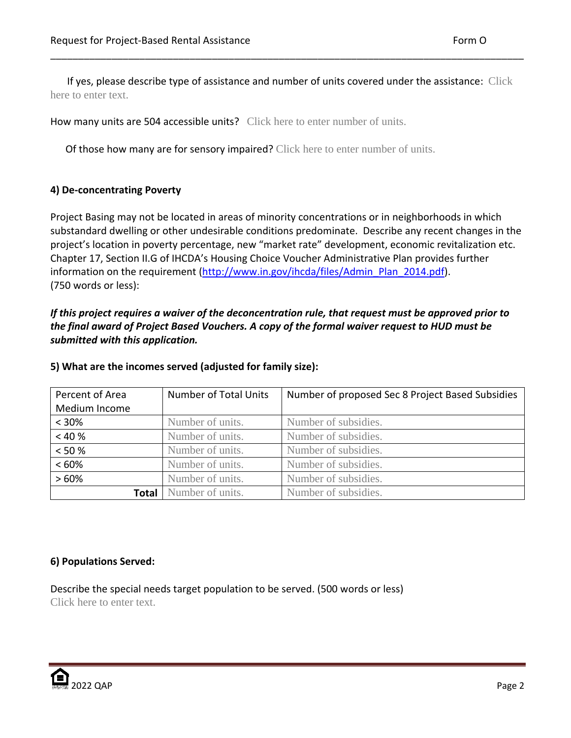If yes, please describe type of assistance and number of units covered under the assistance: Click here to enter text.

\_\_\_\_\_\_\_\_\_\_\_\_\_\_\_\_\_\_\_\_\_\_\_\_\_\_\_\_\_\_\_\_\_\_\_\_\_\_\_\_\_\_\_\_\_\_\_\_\_\_\_\_\_\_\_\_\_\_\_\_\_\_\_\_\_\_\_\_\_\_\_\_\_\_\_\_\_\_\_\_\_\_\_\_\_

How many units are 504 accessible units? Click here to enter number of units.

Of those how many are for sensory impaired? Click here to enter number of units.

## **4) De-concentrating Poverty**

Project Basing may not be located in areas of minority concentrations or in neighborhoods in which substandard dwelling or other undesirable conditions predominate. Describe any recent changes in the project's location in poverty percentage, new "market rate" development, economic revitalization etc. Chapter 17, Section II.G of IHCDA's Housing Choice Voucher Administrative Plan provides further information on the requirement [\(http://www.in.gov/ihcda/files/Admin\\_Plan\\_2014.pdf\)](http://www.in.gov/ihcda/files/Admin_Plan_2014.pdf). (750 words or less):

*If this project requires a waiver of the deconcentration rule, that request must be approved prior to the final award of Project Based Vouchers. A copy of the formal waiver request to HUD must be submitted with this application.*

| Percent of Area | <b>Number of Total Units</b> | Number of proposed Sec 8 Project Based Subsidies |  |
|-----------------|------------------------------|--------------------------------------------------|--|
| Medium Income   |                              |                                                  |  |
| $< 30\%$        | Number of units.             | Number of subsidies.                             |  |
| < 40%           | Number of units.             | Number of subsidies.                             |  |
| < 50 %          | Number of units.             | Number of subsidies.                             |  |
| <60%            | Number of units.             | Number of subsidies.                             |  |
| >60%            | Number of units.             | Number of subsidies.                             |  |
| <b>Total</b>    | Number of units.             | Number of subsidies.                             |  |

### **5) What are the incomes served (adjusted for family size):**

### **6) Populations Served:**

Describe the special needs target population to be served. (500 words or less) Click here to enter text.

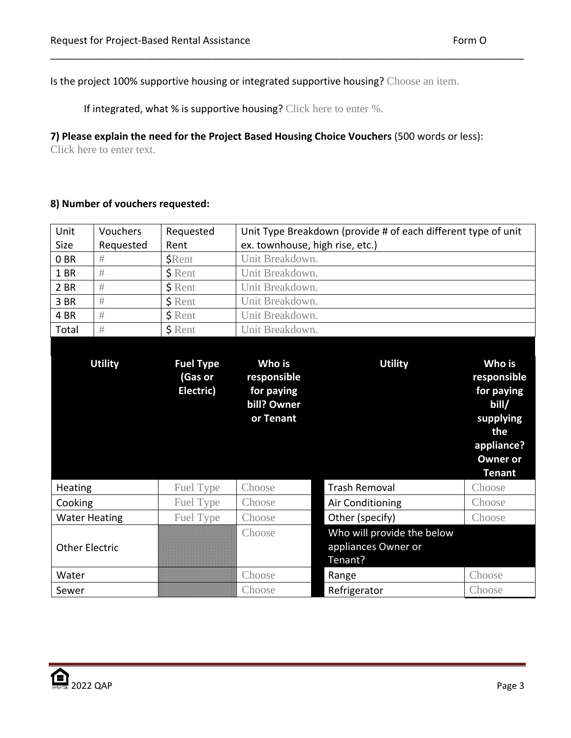Is the project 100% supportive housing or integrated supportive housing? Choose an item.

If integrated, what % is supportive housing? Click here to enter %.

**7) Please explain the need for the Project Based Housing Choice Vouchers** (500 words or less):

\_\_\_\_\_\_\_\_\_\_\_\_\_\_\_\_\_\_\_\_\_\_\_\_\_\_\_\_\_\_\_\_\_\_\_\_\_\_\_\_\_\_\_\_\_\_\_\_\_\_\_\_\_\_\_\_\_\_\_\_\_\_\_\_\_\_\_\_\_\_\_\_\_\_\_\_\_\_\_\_\_\_\_\_\_

Click here to enter text.

# **8) Number of vouchers requested:**

| Unit                  | Vouchers       | Requested                                | Unit Type Breakdown (provide # of each different type of unit   |                                                              |                                                                                                                    |  |
|-----------------------|----------------|------------------------------------------|-----------------------------------------------------------------|--------------------------------------------------------------|--------------------------------------------------------------------------------------------------------------------|--|
| Size                  | Requested      | Rent                                     | ex. townhouse, high rise, etc.)                                 |                                                              |                                                                                                                    |  |
| 0 <sub>BR</sub>       | #              | <b>\$Rent</b>                            | Unit Breakdown.                                                 |                                                              |                                                                                                                    |  |
| 1 BR                  | #              | \$ Rent                                  | Unit Breakdown.                                                 |                                                              |                                                                                                                    |  |
| 2 BR                  | #              | \$ Rent                                  | Unit Breakdown.                                                 |                                                              |                                                                                                                    |  |
| 3 BR                  | #              | \$ Rent                                  | Unit Breakdown.                                                 |                                                              |                                                                                                                    |  |
| 4 BR                  | #              | \$ Rent                                  | Unit Breakdown.                                                 |                                                              |                                                                                                                    |  |
| Total                 | #              | \$ Rent                                  | Unit Breakdown.                                                 |                                                              |                                                                                                                    |  |
|                       | <b>Utility</b> | <b>Fuel Type</b><br>(Gas or<br>Electric) | Who is<br>responsible<br>for paying<br>bill? Owner<br>or Tenant | <b>Utility</b>                                               | Who is<br>responsible<br>for paying<br>bill/<br>supplying<br>the<br>appliance?<br><b>Owner or</b><br><b>Tenant</b> |  |
| Heating               |                | Fuel Type                                | Choose                                                          | <b>Trash Removal</b>                                         | Choose                                                                                                             |  |
| Cooking               |                | Fuel Type                                | Choose                                                          | Air Conditioning                                             | Choose                                                                                                             |  |
| <b>Water Heating</b>  |                | Fuel Type                                | Choose                                                          | Other (specify)                                              | Choose                                                                                                             |  |
| <b>Other Electric</b> |                |                                          | Choose                                                          | Who will provide the below<br>appliances Owner or<br>Tenant? |                                                                                                                    |  |
| Water                 |                |                                          | Choose                                                          | Range                                                        | Choose                                                                                                             |  |
| Sewer                 |                |                                          | Choose                                                          | Refrigerator                                                 | Choose                                                                                                             |  |

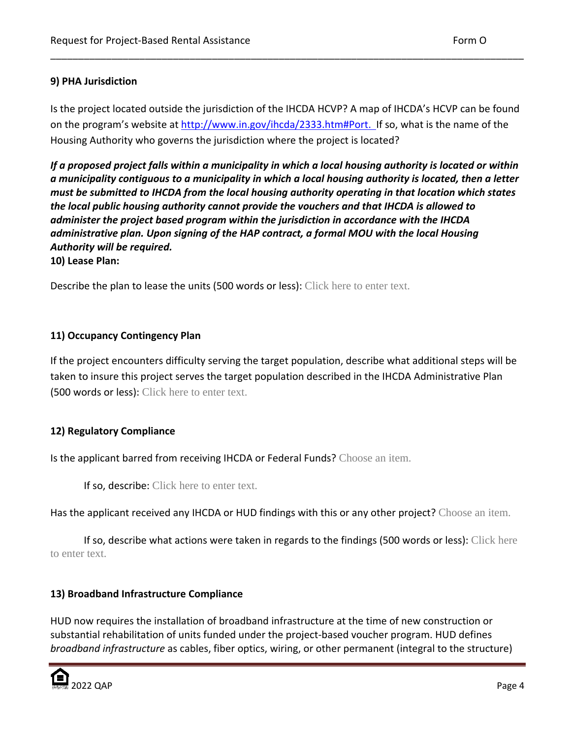## **9) PHA Jurisdiction**

Is the project located outside the jurisdiction of the IHCDA HCVP? A map of IHCDA's HCVP can be found on the program's website at [http://www.in.gov/ihcda/2333.htm#Port.](http://www.in.gov/ihcda/2333.htm#Port) If so, what is the name of the Housing Authority who governs the jurisdiction where the project is located?

\_\_\_\_\_\_\_\_\_\_\_\_\_\_\_\_\_\_\_\_\_\_\_\_\_\_\_\_\_\_\_\_\_\_\_\_\_\_\_\_\_\_\_\_\_\_\_\_\_\_\_\_\_\_\_\_\_\_\_\_\_\_\_\_\_\_\_\_\_\_\_\_\_\_\_\_\_\_\_\_\_\_\_\_\_

*If a proposed project falls within a municipality in which a local housing authority is located or within a municipality contiguous to a municipality in which a local housing authority is located, then a letter must be submitted to IHCDA from the local housing authority operating in that location which states the local public housing authority cannot provide the vouchers and that IHCDA is allowed to administer the project based program within the jurisdiction in accordance with the IHCDA administrative plan. Upon signing of the HAP contract, a formal MOU with the local Housing Authority will be required.*

**10) Lease Plan:**

Describe the plan to lease the units (500 words or less): Click here to enter text.

## **11) Occupancy Contingency Plan**

If the project encounters difficulty serving the target population, describe what additional steps will be taken to insure this project serves the target population described in the IHCDA Administrative Plan (500 words or less): Click here to enter text.

### **12) Regulatory Compliance**

Is the applicant barred from receiving IHCDA or Federal Funds? Choose an item.

If so, describe: Click here to enter text.

Has the applicant received any IHCDA or HUD findings with this or any other project? Choose an item.

If so, describe what actions were taken in regards to the findings (500 words or less): Click here to enter text.

# **13) Broadband Infrastructure Compliance**

HUD now requires the installation of broadband infrastructure at the time of new construction or substantial rehabilitation of units funded under the project-based voucher program. HUD defines *broadband infrastructure* as cables, fiber optics, wiring, or other permanent (integral to the structure)

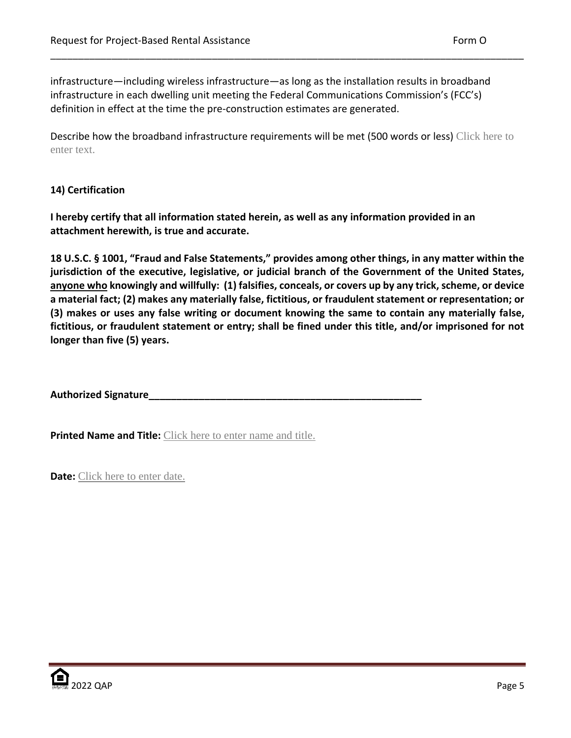infrastructure—including wireless infrastructure—as long as the installation results in broadband infrastructure in each dwelling unit meeting the Federal Communications Commission's ([FCC](https://www.fcc.gov/)'s) definition in effect at the time the pre-construction estimates are generated.

Describe how the broadband infrastructure requirements will be met (500 words or less) Click here to enter text.

\_\_\_\_\_\_\_\_\_\_\_\_\_\_\_\_\_\_\_\_\_\_\_\_\_\_\_\_\_\_\_\_\_\_\_\_\_\_\_\_\_\_\_\_\_\_\_\_\_\_\_\_\_\_\_\_\_\_\_\_\_\_\_\_\_\_\_\_\_\_\_\_\_\_\_\_\_\_\_\_\_\_\_\_\_

# **14) Certification**

**I hereby certify that all information stated herein, as well as any information provided in an attachment herewith, is true and accurate.**

**18 U.S.C. § 1001, "Fraud and False Statements," provides among other things, in any matter within the jurisdiction of the executive, legislative, or judicial branch of the Government of the United States, anyone who knowingly and willfully: (1) falsifies, conceals, or covers up by any trick, scheme, or device a material fact; (2) makes any materially false, fictitious, or fraudulent statement or representation; or (3) makes or uses any false writing or document knowing the same to contain any materially false, fictitious, or fraudulent statement or entry; shall be fined under this title, and/or imprisoned for not longer than five (5) years.**

**Authorized Signature\_\_\_\_\_\_\_\_\_\_\_\_\_\_\_\_\_\_\_\_\_\_\_\_\_\_\_\_\_\_\_\_\_\_\_\_\_\_\_\_\_\_\_\_\_\_\_\_\_**

**Printed Name and Title:** Click here to enter name and title.

**Date:** Click here to enter date.